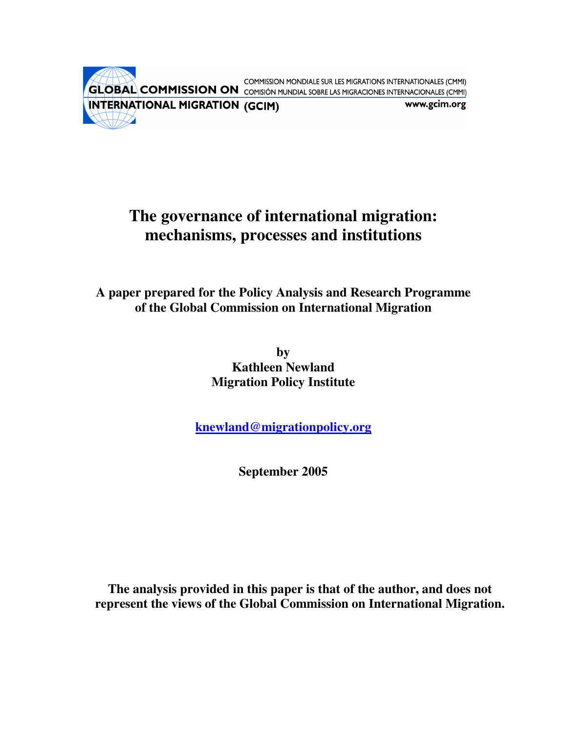COMMISSION MONDIALE SUR LES MIGRATIONS INTERNATIONALES (CMMI) **GLOBAL COMMISSION ON** COMISIÓN MUNDIAL SOBRE LAS MIGRACIONES INTERNACIONALES (CMMI) **INTERNATIONAL MIGRATION (GCIM)** www.gcim.org

# **The governance of international migration: mechanisms, processes and institutions**

**A paper prepared for the Policy Analysis and Research Programme of the Global Commission on International Migration**

> **by Kathleen Newland Migration Policy Institute**

**knewland@migrationpolicy.org** 

**September 2005** 

**The analysis provided in this paper is that of the author, and does not represent the views of the Global Commission on International Migration.**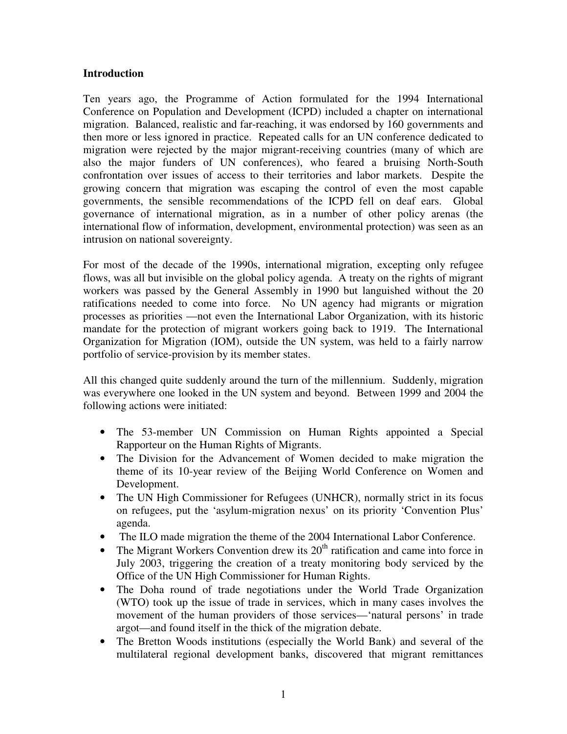## **Introduction**

Ten years ago, the Programme of Action formulated for the 1994 International Conference on Population and Development (ICPD) included a chapter on international migration. Balanced, realistic and far-reaching, it was endorsed by 160 governments and then more or less ignored in practice. Repeated calls for an UN conference dedicated to migration were rejected by the major migrant-receiving countries (many of which are also the major funders of UN conferences), who feared a bruising North-South confrontation over issues of access to their territories and labor markets. Despite the growing concern that migration was escaping the control of even the most capable governments, the sensible recommendations of the ICPD fell on deaf ears. Global governance of international migration, as in a number of other policy arenas (the international flow of information, development, environmental protection) was seen as an intrusion on national sovereignty.

For most of the decade of the 1990s, international migration, excepting only refugee flows, was all but invisible on the global policy agenda. A treaty on the rights of migrant workers was passed by the General Assembly in 1990 but languished without the 20 ratifications needed to come into force. No UN agency had migrants or migration processes as priorities —not even the International Labor Organization, with its historic mandate for the protection of migrant workers going back to 1919. The International Organization for Migration (IOM), outside the UN system, was held to a fairly narrow portfolio of service-provision by its member states.

All this changed quite suddenly around the turn of the millennium. Suddenly, migration was everywhere one looked in the UN system and beyond. Between 1999 and 2004 the following actions were initiated:

- The 53-member UN Commission on Human Rights appointed a Special Rapporteur on the Human Rights of Migrants.
- The Division for the Advancement of Women decided to make migration the theme of its 10-year review of the Beijing World Conference on Women and Development.
- The UN High Commissioner for Refugees (UNHCR), normally strict in its focus on refugees, put the 'asylum-migration nexus' on its priority 'Convention Plus' agenda.
- The ILO made migration the theme of the 2004 International Labor Conference.
- The Migrant Workers Convention drew its  $20<sup>th</sup>$  ratification and came into force in July 2003, triggering the creation of a treaty monitoring body serviced by the Office of the UN High Commissioner for Human Rights.
- The Doha round of trade negotiations under the World Trade Organization (WTO) took up the issue of trade in services, which in many cases involves the movement of the human providers of those services—'natural persons' in trade argot—and found itself in the thick of the migration debate.
- The Bretton Woods institutions (especially the World Bank) and several of the multilateral regional development banks, discovered that migrant remittances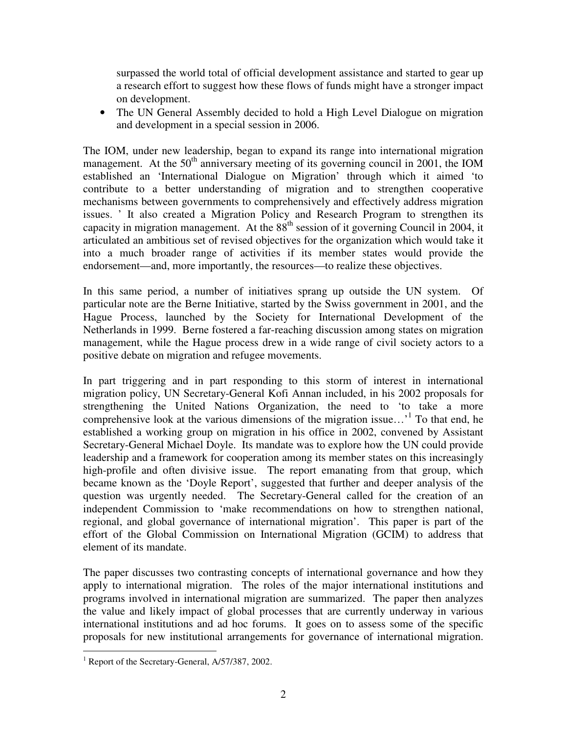surpassed the world total of official development assistance and started to gear up a research effort to suggest how these flows of funds might have a stronger impact on development.

• The UN General Assembly decided to hold a High Level Dialogue on migration and development in a special session in 2006.

The IOM, under new leadership, began to expand its range into international migration management. At the  $50<sup>th</sup>$  anniversary meeting of its governing council in 2001, the IOM established an 'International Dialogue on Migration' through which it aimed 'to contribute to a better understanding of migration and to strengthen cooperative mechanisms between governments to comprehensively and effectively address migration issues. ' It also created a Migration Policy and Research Program to strengthen its capacity in migration management. At the  $88<sup>th</sup>$  session of it governing Council in 2004, it articulated an ambitious set of revised objectives for the organization which would take it into a much broader range of activities if its member states would provide the endorsement—and, more importantly, the resources—to realize these objectives.

In this same period, a number of initiatives sprang up outside the UN system. Of particular note are the Berne Initiative, started by the Swiss government in 2001, and the Hague Process, launched by the Society for International Development of the Netherlands in 1999. Berne fostered a far-reaching discussion among states on migration management, while the Hague process drew in a wide range of civil society actors to a positive debate on migration and refugee movements.

In part triggering and in part responding to this storm of interest in international migration policy, UN Secretary-General Kofi Annan included, in his 2002 proposals for strengthening the United Nations Organization, the need to 'to take a more comprehensive look at the various dimensions of the migration issue...'<sup>1</sup> To that end, he established a working group on migration in his office in 2002, convened by Assistant Secretary-General Michael Doyle. Its mandate was to explore how the UN could provide leadership and a framework for cooperation among its member states on this increasingly high-profile and often divisive issue. The report emanating from that group, which became known as the 'Doyle Report', suggested that further and deeper analysis of the question was urgently needed. The Secretary-General called for the creation of an independent Commission to 'make recommendations on how to strengthen national, regional, and global governance of international migration'. This paper is part of the effort of the Global Commission on International Migration (GCIM) to address that element of its mandate.

The paper discusses two contrasting concepts of international governance and how they apply to international migration. The roles of the major international institutions and programs involved in international migration are summarized. The paper then analyzes the value and likely impact of global processes that are currently underway in various international institutions and ad hoc forums. It goes on to assess some of the specific proposals for new institutional arrangements for governance of international migration.

 $\overline{a}$ <sup>1</sup> Report of the Secretary-General, A/57/387, 2002.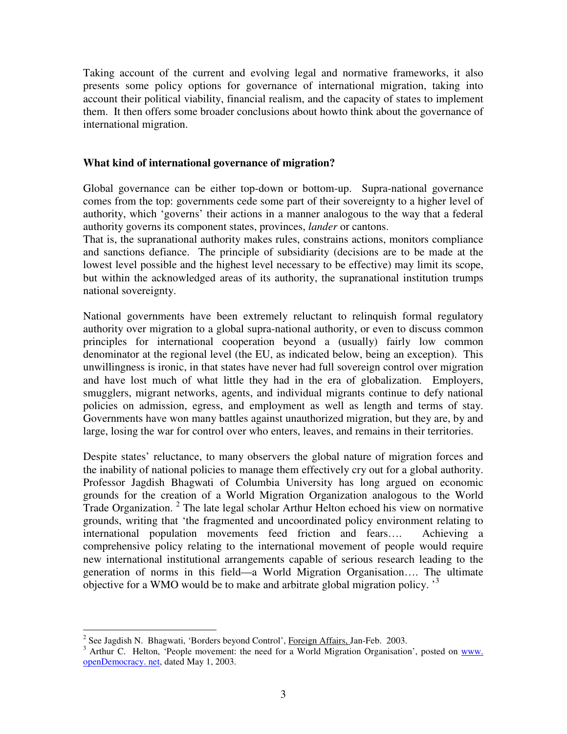Taking account of the current and evolving legal and normative frameworks, it also presents some policy options for governance of international migration, taking into account their political viability, financial realism, and the capacity of states to implement them. It then offers some broader conclusions about howto think about the governance of international migration.

## **What kind of international governance of migration?**

Global governance can be either top-down or bottom-up. Supra-national governance comes from the top: governments cede some part of their sovereignty to a higher level of authority, which 'governs' their actions in a manner analogous to the way that a federal authority governs its component states, provinces, *lander* or cantons.

That is, the supranational authority makes rules, constrains actions, monitors compliance and sanctions defiance. The principle of subsidiarity (decisions are to be made at the lowest level possible and the highest level necessary to be effective) may limit its scope, but within the acknowledged areas of its authority, the supranational institution trumps national sovereignty.

National governments have been extremely reluctant to relinquish formal regulatory authority over migration to a global supra-national authority, or even to discuss common principles for international cooperation beyond a (usually) fairly low common denominator at the regional level (the EU, as indicated below, being an exception). This unwillingness is ironic, in that states have never had full sovereign control over migration and have lost much of what little they had in the era of globalization. Employers, smugglers, migrant networks, agents, and individual migrants continue to defy national policies on admission, egress, and employment as well as length and terms of stay. Governments have won many battles against unauthorized migration, but they are, by and large, losing the war for control over who enters, leaves, and remains in their territories.

Despite states' reluctance, to many observers the global nature of migration forces and the inability of national policies to manage them effectively cry out for a global authority. Professor Jagdish Bhagwati of Columbia University has long argued on economic grounds for the creation of a World Migration Organization analogous to the World Trade Organization.<sup>2</sup> The late legal scholar Arthur Helton echoed his view on normative grounds, writing that 'the fragmented and uncoordinated policy environment relating to international population movements feed friction and fears…. Achieving a comprehensive policy relating to the international movement of people would require new international institutional arrangements capable of serious research leading to the generation of norms in this field—a World Migration Organisation…. The ultimate objective for a WMO would be to make and arbitrate global migration policy.<sup>3</sup>

 2 See Jagdish N. Bhagwati, 'Borders beyond Control', Foreign Affairs, Jan-Feb. 2003.

 $3$  Arthur C. Helton, 'People movement: the need for a World Migration Organisation', posted on www. openDemocracy. net, dated May 1, 2003.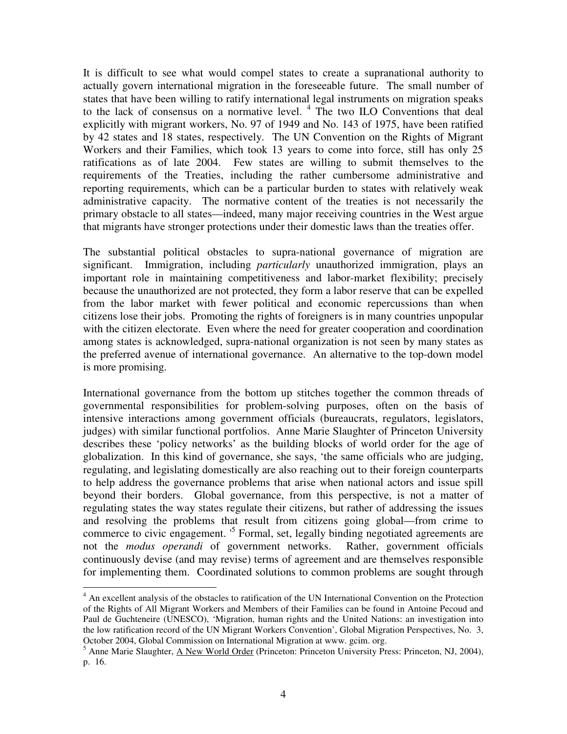It is difficult to see what would compel states to create a supranational authority to actually govern international migration in the foreseeable future. The small number of states that have been willing to ratify international legal instruments on migration speaks to the lack of consensus on a normative level. <sup>4</sup> The two ILO Conventions that deal explicitly with migrant workers, No. 97 of 1949 and No. 143 of 1975, have been ratified by 42 states and 18 states, respectively. The UN Convention on the Rights of Migrant Workers and their Families, which took 13 years to come into force, still has only 25 ratifications as of late 2004. Few states are willing to submit themselves to the requirements of the Treaties, including the rather cumbersome administrative and reporting requirements, which can be a particular burden to states with relatively weak administrative capacity. The normative content of the treaties is not necessarily the primary obstacle to all states—indeed, many major receiving countries in the West argue that migrants have stronger protections under their domestic laws than the treaties offer.

The substantial political obstacles to supra-national governance of migration are significant. Immigration, including *particularly* unauthorized immigration, plays an important role in maintaining competitiveness and labor-market flexibility; precisely because the unauthorized are not protected, they form a labor reserve that can be expelled from the labor market with fewer political and economic repercussions than when citizens lose their jobs. Promoting the rights of foreigners is in many countries unpopular with the citizen electorate. Even where the need for greater cooperation and coordination among states is acknowledged, supra-national organization is not seen by many states as the preferred avenue of international governance. An alternative to the top-down model is more promising.

International governance from the bottom up stitches together the common threads of governmental responsibilities for problem-solving purposes, often on the basis of intensive interactions among government officials (bureaucrats, regulators, legislators, judges) with similar functional portfolios. Anne Marie Slaughter of Princeton University describes these 'policy networks' as the building blocks of world order for the age of globalization. In this kind of governance, she says, 'the same officials who are judging, regulating, and legislating domestically are also reaching out to their foreign counterparts to help address the governance problems that arise when national actors and issue spill beyond their borders. Global governance, from this perspective, is not a matter of regulating states the way states regulate their citizens, but rather of addressing the issues and resolving the problems that result from citizens going global—from crime to commerce to civic engagement.<sup>5</sup> Formal, set, legally binding negotiated agreements are not the *modus operandi* of government networks. Rather, government officials continuously devise (and may revise) terms of agreement and are themselves responsible for implementing them. Coordinated solutions to common problems are sought through

<sup>&</sup>lt;sup>4</sup> An excellent analysis of the obstacles to ratification of the UN International Convention on the Protection of the Rights of All Migrant Workers and Members of their Families can be found in Antoine Pecoud and Paul de Guchteneire (UNESCO), 'Migration, human rights and the United Nations: an investigation into the low ratification record of the UN Migrant Workers Convention', Global Migration Perspectives, No. 3, October 2004, Global Commission on International Migration at www. gcim. org.

<sup>&</sup>lt;sup>5</sup> Anne Marie Slaughter, <u>A New World Order</u> (Princeton: Princeton University Press: Princeton, NJ, 2004), p. 16.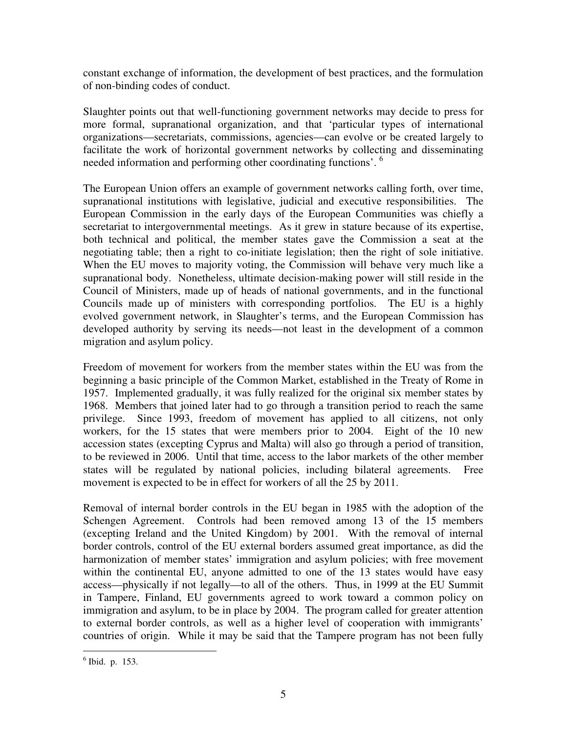constant exchange of information, the development of best practices, and the formulation of non-binding codes of conduct.

Slaughter points out that well-functioning government networks may decide to press for more formal, supranational organization, and that 'particular types of international organizations—secretariats, commissions, agencies—can evolve or be created largely to facilitate the work of horizontal government networks by collecting and disseminating needed information and performing other coordinating functions'. <sup>6</sup>

The European Union offers an example of government networks calling forth, over time, supranational institutions with legislative, judicial and executive responsibilities. The European Commission in the early days of the European Communities was chiefly a secretariat to intergovernmental meetings. As it grew in stature because of its expertise, both technical and political, the member states gave the Commission a seat at the negotiating table; then a right to co-initiate legislation; then the right of sole initiative. When the EU moves to majority voting, the Commission will behave very much like a supranational body. Nonetheless, ultimate decision-making power will still reside in the Council of Ministers, made up of heads of national governments, and in the functional Councils made up of ministers with corresponding portfolios. The EU is a highly evolved government network, in Slaughter's terms, and the European Commission has developed authority by serving its needs—not least in the development of a common migration and asylum policy.

Freedom of movement for workers from the member states within the EU was from the beginning a basic principle of the Common Market, established in the Treaty of Rome in 1957. Implemented gradually, it was fully realized for the original six member states by 1968. Members that joined later had to go through a transition period to reach the same privilege. Since 1993, freedom of movement has applied to all citizens, not only workers, for the 15 states that were members prior to 2004. Eight of the 10 new accession states (excepting Cyprus and Malta) will also go through a period of transition, to be reviewed in 2006. Until that time, access to the labor markets of the other member states will be regulated by national policies, including bilateral agreements. Free movement is expected to be in effect for workers of all the 25 by 2011.

Removal of internal border controls in the EU began in 1985 with the adoption of the Schengen Agreement. Controls had been removed among 13 of the 15 members (excepting Ireland and the United Kingdom) by 2001. With the removal of internal border controls, control of the EU external borders assumed great importance, as did the harmonization of member states' immigration and asylum policies; with free movement within the continental EU, anyone admitted to one of the 13 states would have easy access—physically if not legally—to all of the others. Thus, in 1999 at the EU Summit in Tampere, Finland, EU governments agreed to work toward a common policy on immigration and asylum, to be in place by 2004. The program called for greater attention to external border controls, as well as a higher level of cooperation with immigrants' countries of origin. While it may be said that the Tampere program has not been fully

<sup>6</sup> Ibid. p. 153.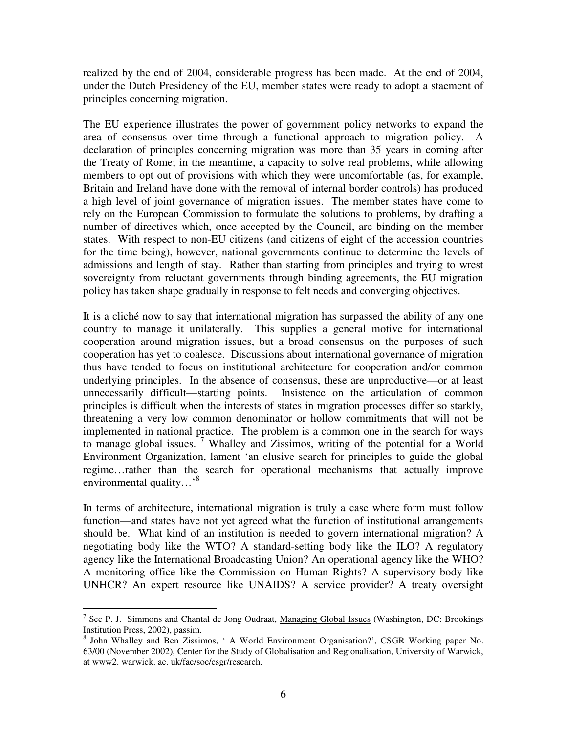realized by the end of 2004, considerable progress has been made. At the end of 2004, under the Dutch Presidency of the EU, member states were ready to adopt a staement of principles concerning migration.

The EU experience illustrates the power of government policy networks to expand the area of consensus over time through a functional approach to migration policy. A declaration of principles concerning migration was more than 35 years in coming after the Treaty of Rome; in the meantime, a capacity to solve real problems, while allowing members to opt out of provisions with which they were uncomfortable (as, for example, Britain and Ireland have done with the removal of internal border controls) has produced a high level of joint governance of migration issues. The member states have come to rely on the European Commission to formulate the solutions to problems, by drafting a number of directives which, once accepted by the Council, are binding on the member states. With respect to non-EU citizens (and citizens of eight of the accession countries for the time being), however, national governments continue to determine the levels of admissions and length of stay. Rather than starting from principles and trying to wrest sovereignty from reluctant governments through binding agreements, the EU migration policy has taken shape gradually in response to felt needs and converging objectives.

It is a cliché now to say that international migration has surpassed the ability of any one country to manage it unilaterally. This supplies a general motive for international cooperation around migration issues, but a broad consensus on the purposes of such cooperation has yet to coalesce. Discussions about international governance of migration thus have tended to focus on institutional architecture for cooperation and/or common underlying principles. In the absence of consensus, these are unproductive—or at least unnecessarily difficult—starting points. Insistence on the articulation of common principles is difficult when the interests of states in migration processes differ so starkly, threatening a very low common denominator or hollow commitments that will not be implemented in national practice. The problem is a common one in the search for ways to manage global issues.<sup>7</sup> Whalley and Zissimos, writing of the potential for a World Environment Organization, lament 'an elusive search for principles to guide the global regime…rather than the search for operational mechanisms that actually improve environmental quality...'<sup>8</sup>

In terms of architecture, international migration is truly a case where form must follow function—and states have not yet agreed what the function of institutional arrangements should be. What kind of an institution is needed to govern international migration? A negotiating body like the WTO? A standard-setting body like the ILO? A regulatory agency like the International Broadcasting Union? An operational agency like the WHO? A monitoring office like the Commission on Human Rights? A supervisory body like UNHCR? An expert resource like UNAIDS? A service provider? A treaty oversight

<sup>&</sup>lt;sup>7</sup> See P. J. Simmons and Chantal de Jong Oudraat, <u>Managing Global Issues</u> (Washington, DC: Brookings Institution Press, 2002), passim.

<sup>&</sup>lt;sup>8</sup> John Whalley and Ben Zissimos, ' A World Environment Organisation?', CSGR Working paper No. 63/00 (November 2002), Center for the Study of Globalisation and Regionalisation, University of Warwick, at www2. warwick. ac. uk/fac/soc/csgr/research.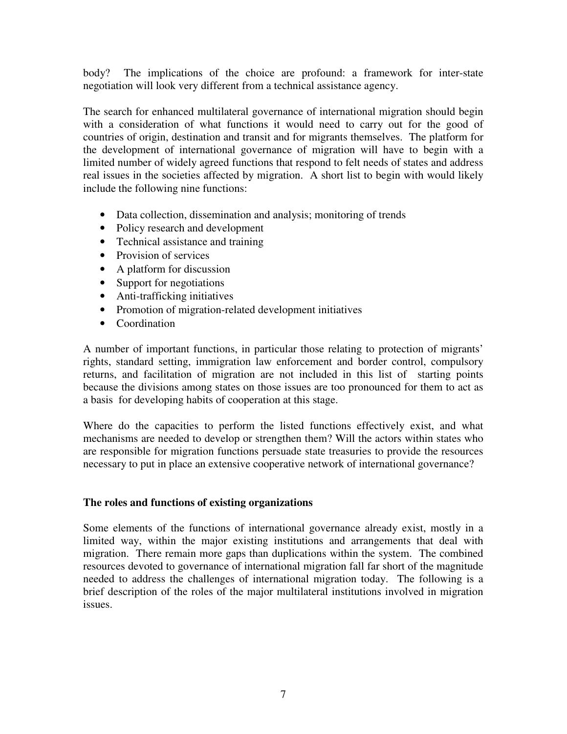body? The implications of the choice are profound: a framework for inter-state negotiation will look very different from a technical assistance agency.

The search for enhanced multilateral governance of international migration should begin with a consideration of what functions it would need to carry out for the good of countries of origin, destination and transit and for migrants themselves. The platform for the development of international governance of migration will have to begin with a limited number of widely agreed functions that respond to felt needs of states and address real issues in the societies affected by migration. A short list to begin with would likely include the following nine functions:

- Data collection, dissemination and analysis; monitoring of trends
- Policy research and development
- Technical assistance and training
- Provision of services
- A platform for discussion
- Support for negotiations
- Anti-trafficking initiatives
- Promotion of migration-related development initiatives
- Coordination

A number of important functions, in particular those relating to protection of migrants' rights, standard setting, immigration law enforcement and border control, compulsory returns, and facilitation of migration are not included in this list of starting points because the divisions among states on those issues are too pronounced for them to act as a basis for developing habits of cooperation at this stage.

Where do the capacities to perform the listed functions effectively exist, and what mechanisms are needed to develop or strengthen them? Will the actors within states who are responsible for migration functions persuade state treasuries to provide the resources necessary to put in place an extensive cooperative network of international governance?

#### **The roles and functions of existing organizations**

Some elements of the functions of international governance already exist, mostly in a limited way, within the major existing institutions and arrangements that deal with migration. There remain more gaps than duplications within the system. The combined resources devoted to governance of international migration fall far short of the magnitude needed to address the challenges of international migration today. The following is a brief description of the roles of the major multilateral institutions involved in migration issues.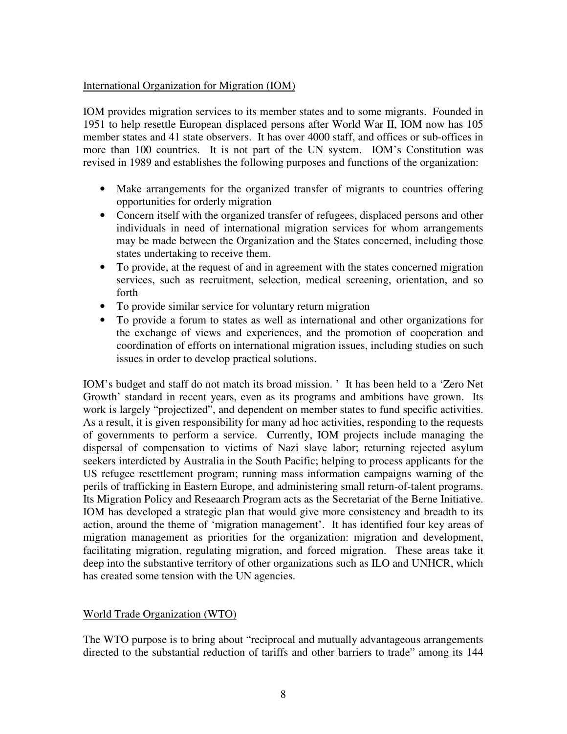# International Organization for Migration (IOM)

IOM provides migration services to its member states and to some migrants. Founded in 1951 to help resettle European displaced persons after World War II, IOM now has 105 member states and 41 state observers. It has over 4000 staff, and offices or sub-offices in more than 100 countries. It is not part of the UN system. IOM's Constitution was revised in 1989 and establishes the following purposes and functions of the organization:

- Make arrangements for the organized transfer of migrants to countries offering opportunities for orderly migration
- Concern itself with the organized transfer of refugees, displaced persons and other individuals in need of international migration services for whom arrangements may be made between the Organization and the States concerned, including those states undertaking to receive them.
- To provide, at the request of and in agreement with the states concerned migration services, such as recruitment, selection, medical screening, orientation, and so forth
- To provide similar service for voluntary return migration
- To provide a forum to states as well as international and other organizations for the exchange of views and experiences, and the promotion of cooperation and coordination of efforts on international migration issues, including studies on such issues in order to develop practical solutions.

IOM's budget and staff do not match its broad mission. ' It has been held to a 'Zero Net Growth' standard in recent years, even as its programs and ambitions have grown. Its work is largely "projectized", and dependent on member states to fund specific activities. As a result, it is given responsibility for many ad hoc activities, responding to the requests of governments to perform a service. Currently, IOM projects include managing the dispersal of compensation to victims of Nazi slave labor; returning rejected asylum seekers interdicted by Australia in the South Pacific; helping to process applicants for the US refugee resettlement program; running mass information campaigns warning of the perils of trafficking in Eastern Europe, and administering small return-of-talent programs. Its Migration Policy and Reseaarch Program acts as the Secretariat of the Berne Initiative. IOM has developed a strategic plan that would give more consistency and breadth to its action, around the theme of 'migration management'. It has identified four key areas of migration management as priorities for the organization: migration and development, facilitating migration, regulating migration, and forced migration. These areas take it deep into the substantive territory of other organizations such as ILO and UNHCR, which has created some tension with the UN agencies.

# World Trade Organization (WTO)

The WTO purpose is to bring about "reciprocal and mutually advantageous arrangements directed to the substantial reduction of tariffs and other barriers to trade" among its 144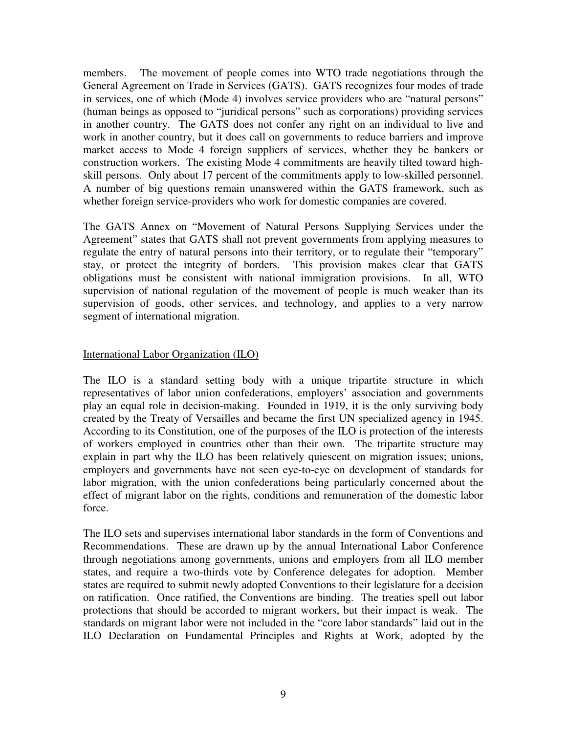members. The movement of people comes into WTO trade negotiations through the General Agreement on Trade in Services (GATS). GATS recognizes four modes of trade in services, one of which (Mode 4) involves service providers who are "natural persons" (human beings as opposed to "juridical persons" such as corporations) providing services in another country. The GATS does not confer any right on an individual to live and work in another country, but it does call on governments to reduce barriers and improve market access to Mode 4 foreign suppliers of services, whether they be bankers or construction workers. The existing Mode 4 commitments are heavily tilted toward highskill persons. Only about 17 percent of the commitments apply to low-skilled personnel. A number of big questions remain unanswered within the GATS framework, such as whether foreign service-providers who work for domestic companies are covered.

The GATS Annex on "Movement of Natural Persons Supplying Services under the Agreement" states that GATS shall not prevent governments from applying measures to regulate the entry of natural persons into their territory, or to regulate their "temporary" stay, or protect the integrity of borders. This provision makes clear that GATS obligations must be consistent with national immigration provisions. In all, WTO supervision of national regulation of the movement of people is much weaker than its supervision of goods, other services, and technology, and applies to a very narrow segment of international migration.

# International Labor Organization (ILO)

The ILO is a standard setting body with a unique tripartite structure in which representatives of labor union confederations, employers' association and governments play an equal role in decision-making. Founded in 1919, it is the only surviving body created by the Treaty of Versailles and became the first UN specialized agency in 1945. According to its Constitution, one of the purposes of the ILO is protection of the interests of workers employed in countries other than their own. The tripartite structure may explain in part why the ILO has been relatively quiescent on migration issues; unions, employers and governments have not seen eye-to-eye on development of standards for labor migration, with the union confederations being particularly concerned about the effect of migrant labor on the rights, conditions and remuneration of the domestic labor force.

The ILO sets and supervises international labor standards in the form of Conventions and Recommendations. These are drawn up by the annual International Labor Conference through negotiations among governments, unions and employers from all ILO member states, and require a two-thirds vote by Conference delegates for adoption. Member states are required to submit newly adopted Conventions to their legislature for a decision on ratification. Once ratified, the Conventions are binding. The treaties spell out labor protections that should be accorded to migrant workers, but their impact is weak. The standards on migrant labor were not included in the "core labor standards" laid out in the ILO Declaration on Fundamental Principles and Rights at Work, adopted by the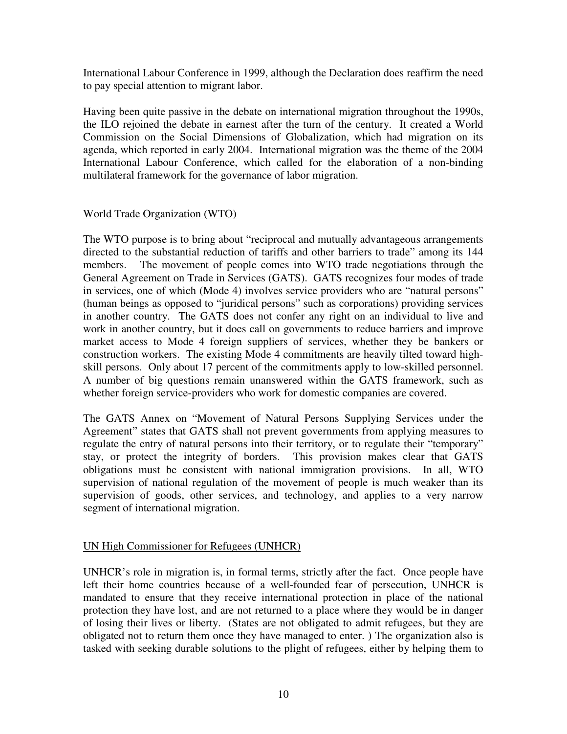International Labour Conference in 1999, although the Declaration does reaffirm the need to pay special attention to migrant labor.

Having been quite passive in the debate on international migration throughout the 1990s, the ILO rejoined the debate in earnest after the turn of the century. It created a World Commission on the Social Dimensions of Globalization, which had migration on its agenda, which reported in early 2004. International migration was the theme of the 2004 International Labour Conference, which called for the elaboration of a non-binding multilateral framework for the governance of labor migration.

# World Trade Organization (WTO)

The WTO purpose is to bring about "reciprocal and mutually advantageous arrangements directed to the substantial reduction of tariffs and other barriers to trade" among its 144 members. The movement of people comes into WTO trade negotiations through the General Agreement on Trade in Services (GATS). GATS recognizes four modes of trade in services, one of which (Mode 4) involves service providers who are "natural persons" (human beings as opposed to "juridical persons" such as corporations) providing services in another country. The GATS does not confer any right on an individual to live and work in another country, but it does call on governments to reduce barriers and improve market access to Mode 4 foreign suppliers of services, whether they be bankers or construction workers. The existing Mode 4 commitments are heavily tilted toward highskill persons. Only about 17 percent of the commitments apply to low-skilled personnel. A number of big questions remain unanswered within the GATS framework, such as whether foreign service-providers who work for domestic companies are covered.

The GATS Annex on "Movement of Natural Persons Supplying Services under the Agreement" states that GATS shall not prevent governments from applying measures to regulate the entry of natural persons into their territory, or to regulate their "temporary" stay, or protect the integrity of borders. This provision makes clear that GATS obligations must be consistent with national immigration provisions. In all, WTO supervision of national regulation of the movement of people is much weaker than its supervision of goods, other services, and technology, and applies to a very narrow segment of international migration.

#### UN High Commissioner for Refugees (UNHCR)

UNHCR's role in migration is, in formal terms, strictly after the fact. Once people have left their home countries because of a well-founded fear of persecution, UNHCR is mandated to ensure that they receive international protection in place of the national protection they have lost, and are not returned to a place where they would be in danger of losing their lives or liberty. (States are not obligated to admit refugees, but they are obligated not to return them once they have managed to enter. ) The organization also is tasked with seeking durable solutions to the plight of refugees, either by helping them to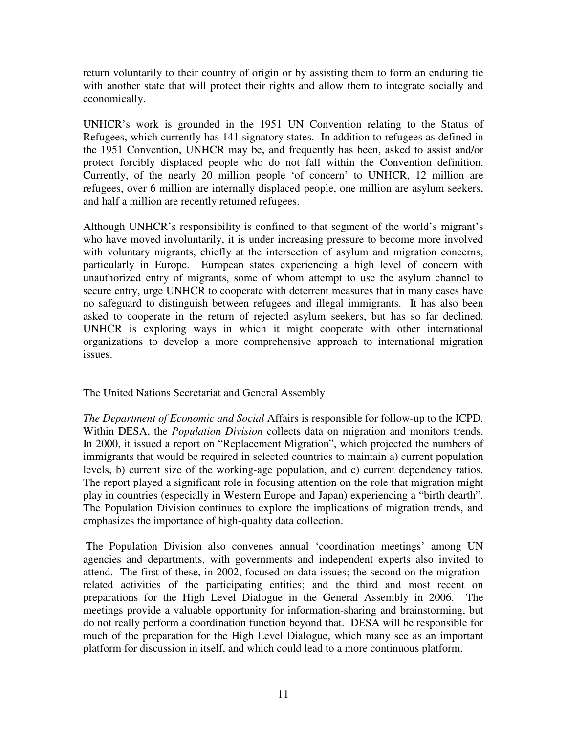return voluntarily to their country of origin or by assisting them to form an enduring tie with another state that will protect their rights and allow them to integrate socially and economically.

UNHCR's work is grounded in the 1951 UN Convention relating to the Status of Refugees, which currently has 141 signatory states. In addition to refugees as defined in the 1951 Convention, UNHCR may be, and frequently has been, asked to assist and/or protect forcibly displaced people who do not fall within the Convention definition. Currently, of the nearly 20 million people 'of concern' to UNHCR, 12 million are refugees, over 6 million are internally displaced people, one million are asylum seekers, and half a million are recently returned refugees.

Although UNHCR's responsibility is confined to that segment of the world's migrant's who have moved involuntarily, it is under increasing pressure to become more involved with voluntary migrants, chiefly at the intersection of asylum and migration concerns, particularly in Europe. European states experiencing a high level of concern with unauthorized entry of migrants, some of whom attempt to use the asylum channel to secure entry, urge UNHCR to cooperate with deterrent measures that in many cases have no safeguard to distinguish between refugees and illegal immigrants. It has also been asked to cooperate in the return of rejected asylum seekers, but has so far declined. UNHCR is exploring ways in which it might cooperate with other international organizations to develop a more comprehensive approach to international migration issues.

# The United Nations Secretariat and General Assembly

*The Department of Economic and Social* Affairs is responsible for follow-up to the ICPD. Within DESA, the *Population Division* collects data on migration and monitors trends. In 2000, it issued a report on "Replacement Migration", which projected the numbers of immigrants that would be required in selected countries to maintain a) current population levels, b) current size of the working-age population, and c) current dependency ratios. The report played a significant role in focusing attention on the role that migration might play in countries (especially in Western Europe and Japan) experiencing a "birth dearth". The Population Division continues to explore the implications of migration trends, and emphasizes the importance of high-quality data collection.

 The Population Division also convenes annual 'coordination meetings' among UN agencies and departments, with governments and independent experts also invited to attend. The first of these, in 2002, focused on data issues; the second on the migrationrelated activities of the participating entities; and the third and most recent on preparations for the High Level Dialogue in the General Assembly in 2006. The meetings provide a valuable opportunity for information-sharing and brainstorming, but do not really perform a coordination function beyond that. DESA will be responsible for much of the preparation for the High Level Dialogue, which many see as an important platform for discussion in itself, and which could lead to a more continuous platform.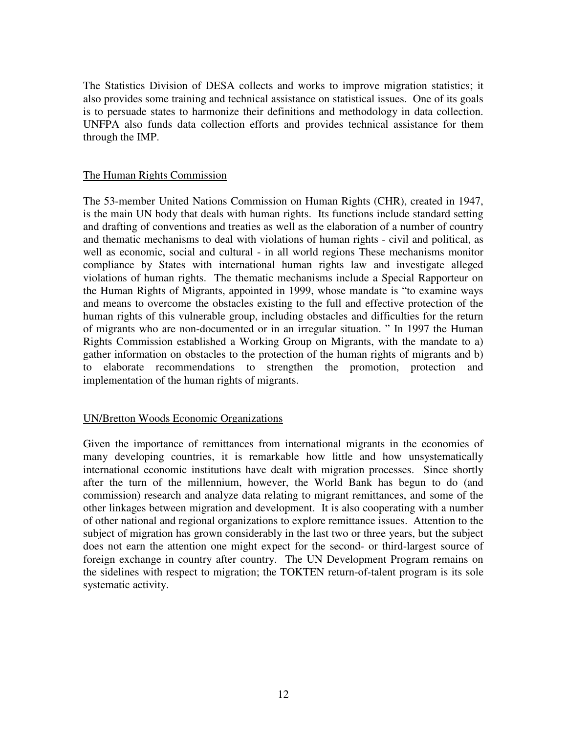The Statistics Division of DESA collects and works to improve migration statistics; it also provides some training and technical assistance on statistical issues. One of its goals is to persuade states to harmonize their definitions and methodology in data collection. UNFPA also funds data collection efforts and provides technical assistance for them through the IMP.

## The Human Rights Commission

The 53-member United Nations Commission on Human Rights (CHR), created in 1947, is the main UN body that deals with human rights. Its functions include standard setting and drafting of conventions and treaties as well as the elaboration of a number of country and thematic mechanisms to deal with violations of human rights - civil and political, as well as economic, social and cultural - in all world regions These mechanisms monitor compliance by States with international human rights law and investigate alleged violations of human rights. The thematic mechanisms include a Special Rapporteur on the Human Rights of Migrants, appointed in 1999, whose mandate is "to examine ways and means to overcome the obstacles existing to the full and effective protection of the human rights of this vulnerable group, including obstacles and difficulties for the return of migrants who are non-documented or in an irregular situation. " In 1997 the Human Rights Commission established a Working Group on Migrants, with the mandate to a) gather information on obstacles to the protection of the human rights of migrants and b) to elaborate recommendations to strengthen the promotion, protection and implementation of the human rights of migrants.

# UN/Bretton Woods Economic Organizations

Given the importance of remittances from international migrants in the economies of many developing countries, it is remarkable how little and how unsystematically international economic institutions have dealt with migration processes. Since shortly after the turn of the millennium, however, the World Bank has begun to do (and commission) research and analyze data relating to migrant remittances, and some of the other linkages between migration and development. It is also cooperating with a number of other national and regional organizations to explore remittance issues. Attention to the subject of migration has grown considerably in the last two or three years, but the subject does not earn the attention one might expect for the second- or third-largest source of foreign exchange in country after country. The UN Development Program remains on the sidelines with respect to migration; the TOKTEN return-of-talent program is its sole systematic activity.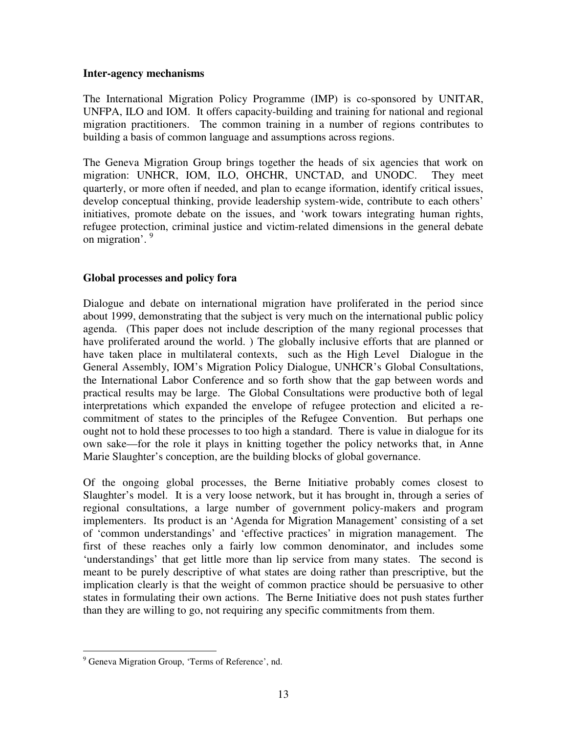#### **Inter-agency mechanisms**

The International Migration Policy Programme (IMP) is co-sponsored by UNITAR, UNFPA, ILO and IOM. It offers capacity-building and training for national and regional migration practitioners. The common training in a number of regions contributes to building a basis of common language and assumptions across regions.

The Geneva Migration Group brings together the heads of six agencies that work on migration: UNHCR, IOM, ILO, OHCHR, UNCTAD, and UNODC. They meet quarterly, or more often if needed, and plan to ecange iformation, identify critical issues, develop conceptual thinking, provide leadership system-wide, contribute to each others' initiatives, promote debate on the issues, and 'work towars integrating human rights, refugee protection, criminal justice and victim-related dimensions in the general debate on migration'. 9

# **Global processes and policy fora**

Dialogue and debate on international migration have proliferated in the period since about 1999, demonstrating that the subject is very much on the international public policy agenda. (This paper does not include description of the many regional processes that have proliferated around the world. ) The globally inclusive efforts that are planned or have taken place in multilateral contexts, such as the High Level Dialogue in the General Assembly, IOM's Migration Policy Dialogue, UNHCR's Global Consultations, the International Labor Conference and so forth show that the gap between words and practical results may be large. The Global Consultations were productive both of legal interpretations which expanded the envelope of refugee protection and elicited a recommitment of states to the principles of the Refugee Convention. But perhaps one ought not to hold these processes to too high a standard. There is value in dialogue for its own sake—for the role it plays in knitting together the policy networks that, in Anne Marie Slaughter's conception, are the building blocks of global governance.

Of the ongoing global processes, the Berne Initiative probably comes closest to Slaughter's model. It is a very loose network, but it has brought in, through a series of regional consultations, a large number of government policy-makers and program implementers. Its product is an 'Agenda for Migration Management' consisting of a set of 'common understandings' and 'effective practices' in migration management. The first of these reaches only a fairly low common denominator, and includes some 'understandings' that get little more than lip service from many states. The second is meant to be purely descriptive of what states are doing rather than prescriptive, but the implication clearly is that the weight of common practice should be persuasive to other states in formulating their own actions. The Berne Initiative does not push states further than they are willing to go, not requiring any specific commitments from them.

<sup>&</sup>lt;sup>9</sup> Geneva Migration Group, 'Terms of Reference', nd.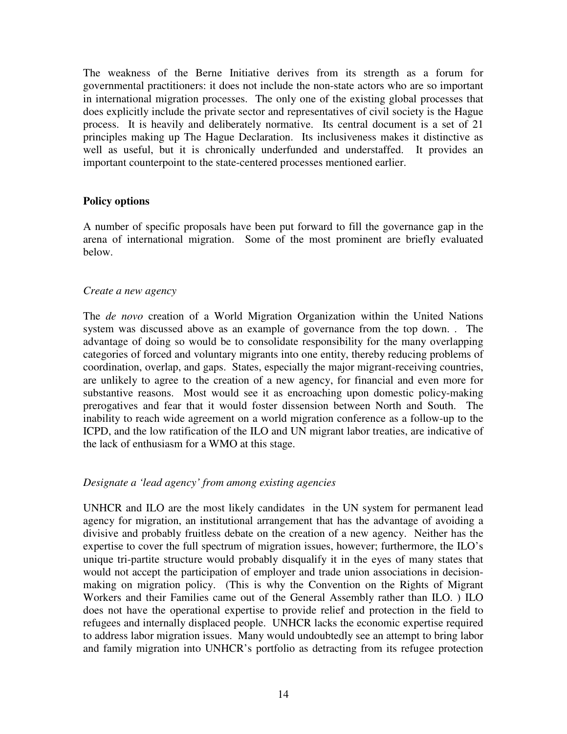The weakness of the Berne Initiative derives from its strength as a forum for governmental practitioners: it does not include the non-state actors who are so important in international migration processes. The only one of the existing global processes that does explicitly include the private sector and representatives of civil society is the Hague process. It is heavily and deliberately normative. Its central document is a set of 21 principles making up The Hague Declaration. Its inclusiveness makes it distinctive as well as useful, but it is chronically underfunded and understaffed. It provides an important counterpoint to the state-centered processes mentioned earlier.

#### **Policy options**

A number of specific proposals have been put forward to fill the governance gap in the arena of international migration. Some of the most prominent are briefly evaluated below.

#### *Create a new agency*

The *de novo* creation of a World Migration Organization within the United Nations system was discussed above as an example of governance from the top down. . The advantage of doing so would be to consolidate responsibility for the many overlapping categories of forced and voluntary migrants into one entity, thereby reducing problems of coordination, overlap, and gaps. States, especially the major migrant-receiving countries, are unlikely to agree to the creation of a new agency, for financial and even more for substantive reasons. Most would see it as encroaching upon domestic policy-making prerogatives and fear that it would foster dissension between North and South. The inability to reach wide agreement on a world migration conference as a follow-up to the ICPD, and the low ratification of the ILO and UN migrant labor treaties, are indicative of the lack of enthusiasm for a WMO at this stage.

#### *Designate a 'lead agency' from among existing agencies*

UNHCR and ILO are the most likely candidates in the UN system for permanent lead agency for migration, an institutional arrangement that has the advantage of avoiding a divisive and probably fruitless debate on the creation of a new agency. Neither has the expertise to cover the full spectrum of migration issues, however; furthermore, the ILO's unique tri-partite structure would probably disqualify it in the eyes of many states that would not accept the participation of employer and trade union associations in decisionmaking on migration policy. (This is why the Convention on the Rights of Migrant Workers and their Families came out of the General Assembly rather than ILO. ) ILO does not have the operational expertise to provide relief and protection in the field to refugees and internally displaced people. UNHCR lacks the economic expertise required to address labor migration issues. Many would undoubtedly see an attempt to bring labor and family migration into UNHCR's portfolio as detracting from its refugee protection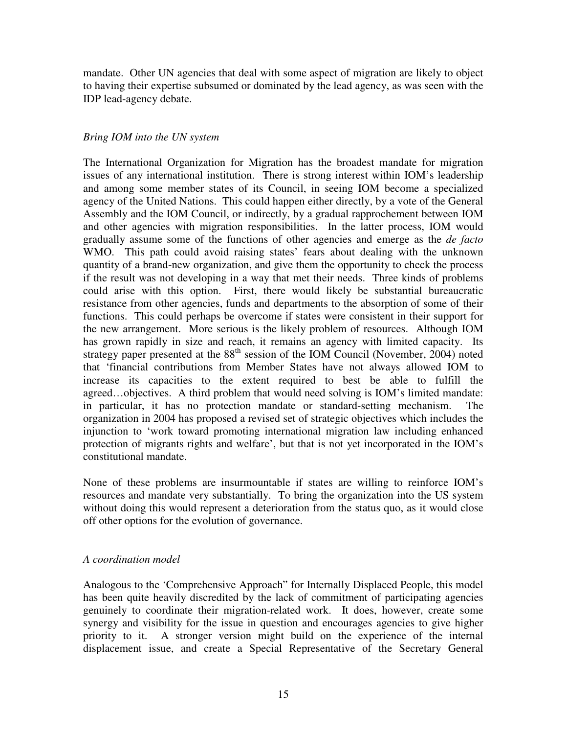mandate. Other UN agencies that deal with some aspect of migration are likely to object to having their expertise subsumed or dominated by the lead agency, as was seen with the IDP lead-agency debate.

# *Bring IOM into the UN system*

The International Organization for Migration has the broadest mandate for migration issues of any international institution. There is strong interest within IOM's leadership and among some member states of its Council, in seeing IOM become a specialized agency of the United Nations. This could happen either directly, by a vote of the General Assembly and the IOM Council, or indirectly, by a gradual rapprochement between IOM and other agencies with migration responsibilities. In the latter process, IOM would gradually assume some of the functions of other agencies and emerge as the *de facto* WMO. This path could avoid raising states' fears about dealing with the unknown quantity of a brand-new organization, and give them the opportunity to check the process if the result was not developing in a way that met their needs. Three kinds of problems could arise with this option. First, there would likely be substantial bureaucratic resistance from other agencies, funds and departments to the absorption of some of their functions. This could perhaps be overcome if states were consistent in their support for the new arrangement. More serious is the likely problem of resources. Although IOM has grown rapidly in size and reach, it remains an agency with limited capacity. Its strategy paper presented at the  $88<sup>th</sup>$  session of the IOM Council (November, 2004) noted that 'financial contributions from Member States have not always allowed IOM to increase its capacities to the extent required to best be able to fulfill the agreed…objectives. A third problem that would need solving is IOM's limited mandate: in particular, it has no protection mandate or standard-setting mechanism. The organization in 2004 has proposed a revised set of strategic objectives which includes the injunction to 'work toward promoting international migration law including enhanced protection of migrants rights and welfare', but that is not yet incorporated in the IOM's constitutional mandate.

None of these problems are insurmountable if states are willing to reinforce IOM's resources and mandate very substantially. To bring the organization into the US system without doing this would represent a deterioration from the status quo, as it would close off other options for the evolution of governance.

#### *A coordination model*

Analogous to the 'Comprehensive Approach" for Internally Displaced People, this model has been quite heavily discredited by the lack of commitment of participating agencies genuinely to coordinate their migration-related work. It does, however, create some synergy and visibility for the issue in question and encourages agencies to give higher priority to it. A stronger version might build on the experience of the internal displacement issue, and create a Special Representative of the Secretary General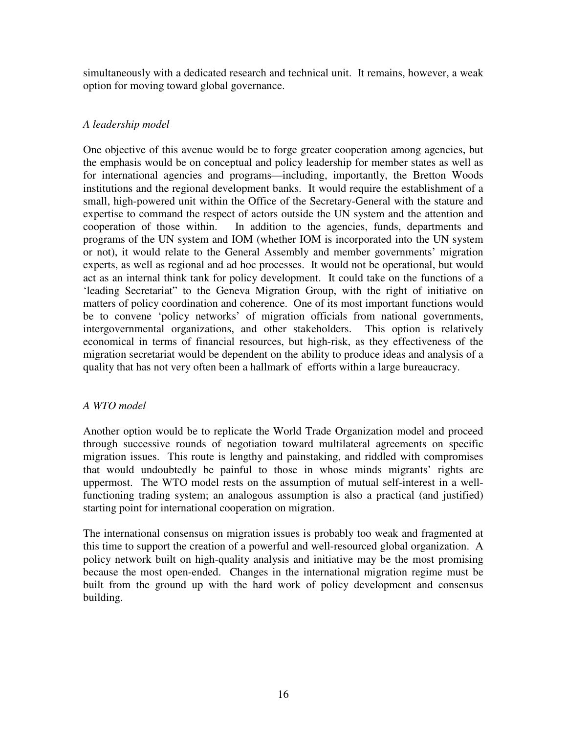simultaneously with a dedicated research and technical unit. It remains, however, a weak option for moving toward global governance.

# *A leadership model*

One objective of this avenue would be to forge greater cooperation among agencies, but the emphasis would be on conceptual and policy leadership for member states as well as for international agencies and programs—including, importantly, the Bretton Woods institutions and the regional development banks. It would require the establishment of a small, high-powered unit within the Office of the Secretary-General with the stature and expertise to command the respect of actors outside the UN system and the attention and cooperation of those within. In addition to the agencies, funds, departments and programs of the UN system and IOM (whether IOM is incorporated into the UN system or not), it would relate to the General Assembly and member governments' migration experts, as well as regional and ad hoc processes. It would not be operational, but would act as an internal think tank for policy development. It could take on the functions of a 'leading Secretariat" to the Geneva Migration Group, with the right of initiative on matters of policy coordination and coherence. One of its most important functions would be to convene 'policy networks' of migration officials from national governments, intergovernmental organizations, and other stakeholders. This option is relatively economical in terms of financial resources, but high-risk, as they effectiveness of the migration secretariat would be dependent on the ability to produce ideas and analysis of a quality that has not very often been a hallmark of efforts within a large bureaucracy.

# *A WTO model*

Another option would be to replicate the World Trade Organization model and proceed through successive rounds of negotiation toward multilateral agreements on specific migration issues. This route is lengthy and painstaking, and riddled with compromises that would undoubtedly be painful to those in whose minds migrants' rights are uppermost. The WTO model rests on the assumption of mutual self-interest in a wellfunctioning trading system; an analogous assumption is also a practical (and justified) starting point for international cooperation on migration.

The international consensus on migration issues is probably too weak and fragmented at this time to support the creation of a powerful and well-resourced global organization. A policy network built on high-quality analysis and initiative may be the most promising because the most open-ended. Changes in the international migration regime must be built from the ground up with the hard work of policy development and consensus building.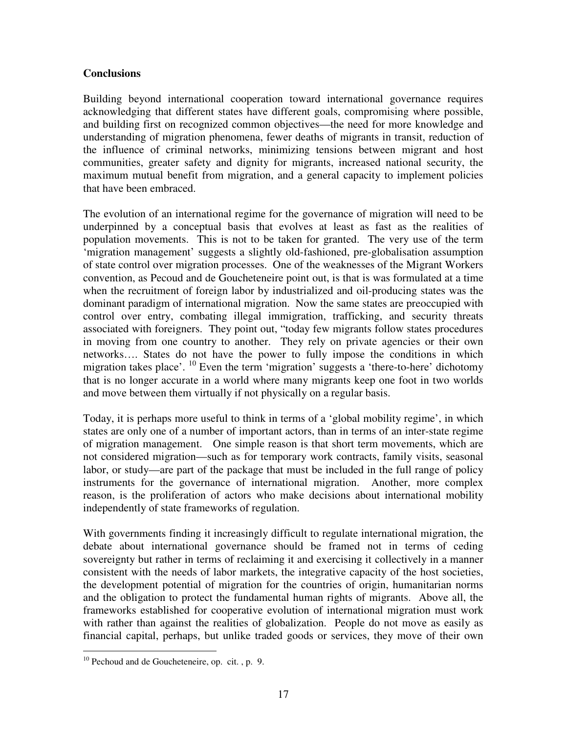# **Conclusions**

Building beyond international cooperation toward international governance requires acknowledging that different states have different goals, compromising where possible, and building first on recognized common objectives—the need for more knowledge and understanding of migration phenomena, fewer deaths of migrants in transit, reduction of the influence of criminal networks, minimizing tensions between migrant and host communities, greater safety and dignity for migrants, increased national security, the maximum mutual benefit from migration, and a general capacity to implement policies that have been embraced.

The evolution of an international regime for the governance of migration will need to be underpinned by a conceptual basis that evolves at least as fast as the realities of population movements. This is not to be taken for granted. The very use of the term 'migration management' suggests a slightly old-fashioned, pre-globalisation assumption of state control over migration processes. One of the weaknesses of the Migrant Workers convention, as Pecoud and de Goucheteneire point out, is that is was formulated at a time when the recruitment of foreign labor by industrialized and oil-producing states was the dominant paradigm of international migration. Now the same states are preoccupied with control over entry, combating illegal immigration, trafficking, and security threats associated with foreigners. They point out, "today few migrants follow states procedures in moving from one country to another. They rely on private agencies or their own networks…. States do not have the power to fully impose the conditions in which migration takes place'. <sup>10</sup> Even the term 'migration' suggests a 'there-to-here' dichotomy that is no longer accurate in a world where many migrants keep one foot in two worlds and move between them virtually if not physically on a regular basis.

Today, it is perhaps more useful to think in terms of a 'global mobility regime', in which states are only one of a number of important actors, than in terms of an inter-state regime of migration management. One simple reason is that short term movements, which are not considered migration—such as for temporary work contracts, family visits, seasonal labor, or study—are part of the package that must be included in the full range of policy instruments for the governance of international migration. Another, more complex reason, is the proliferation of actors who make decisions about international mobility independently of state frameworks of regulation.

With governments finding it increasingly difficult to regulate international migration, the debate about international governance should be framed not in terms of ceding sovereignty but rather in terms of reclaiming it and exercising it collectively in a manner consistent with the needs of labor markets, the integrative capacity of the host societies, the development potential of migration for the countries of origin, humanitarian norms and the obligation to protect the fundamental human rights of migrants. Above all, the frameworks established for cooperative evolution of international migration must work with rather than against the realities of globalization. People do not move as easily as financial capital, perhaps, but unlike traded goods or services, they move of their own

<sup>&</sup>lt;sup>10</sup> Pechoud and de Goucheteneire, op. cit., p. 9.